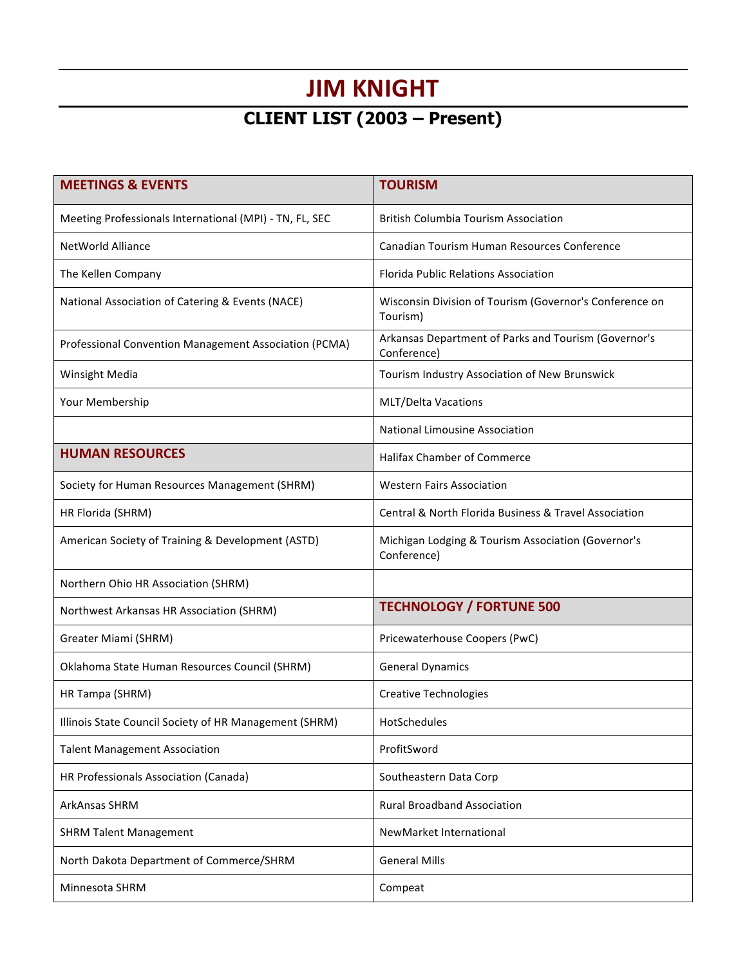## **JIM KNIGHT**

## **CLIENT LIST (2003 – Present)**

| <b>MEETINGS &amp; EVENTS</b>                            | <b>TOURISM</b>                                                      |
|---------------------------------------------------------|---------------------------------------------------------------------|
| Meeting Professionals International (MPI) - TN, FL, SEC | <b>British Columbia Tourism Association</b>                         |
| NetWorld Alliance                                       | Canadian Tourism Human Resources Conference                         |
| The Kellen Company                                      | Florida Public Relations Association                                |
| National Association of Catering & Events (NACE)        | Wisconsin Division of Tourism (Governor's Conference on<br>Tourism) |
| Professional Convention Management Association (PCMA)   | Arkansas Department of Parks and Tourism (Governor's<br>Conference) |
| Winsight Media                                          | Tourism Industry Association of New Brunswick                       |
| Your Membership                                         | <b>MLT/Delta Vacations</b>                                          |
|                                                         | National Limousine Association                                      |
| <b>HUMAN RESOURCES</b>                                  | Halifax Chamber of Commerce                                         |
| Society for Human Resources Management (SHRM)           | <b>Western Fairs Association</b>                                    |
| HR Florida (SHRM)                                       | Central & North Florida Business & Travel Association               |
| American Society of Training & Development (ASTD)       | Michigan Lodging & Tourism Association (Governor's<br>Conference)   |
| Northern Ohio HR Association (SHRM)                     |                                                                     |
| Northwest Arkansas HR Association (SHRM)                | <b>TECHNOLOGY / FORTUNE 500</b>                                     |
| Greater Miami (SHRM)                                    | Pricewaterhouse Coopers (PwC)                                       |
| Oklahoma State Human Resources Council (SHRM)           | <b>General Dynamics</b>                                             |
| HR Tampa (SHRM)                                         | <b>Creative Technologies</b>                                        |
| Illinois State Council Society of HR Management (SHRM)  | HotSchedules                                                        |
| <b>Talent Management Association</b>                    | ProfitSword                                                         |
| HR Professionals Association (Canada)                   | Southeastern Data Corp                                              |
| ArkAnsas SHRM                                           | <b>Rural Broadband Association</b>                                  |
| <b>SHRM Talent Management</b>                           | NewMarket International                                             |
| North Dakota Department of Commerce/SHRM                | <b>General Mills</b>                                                |
| Minnesota SHRM                                          | Compeat                                                             |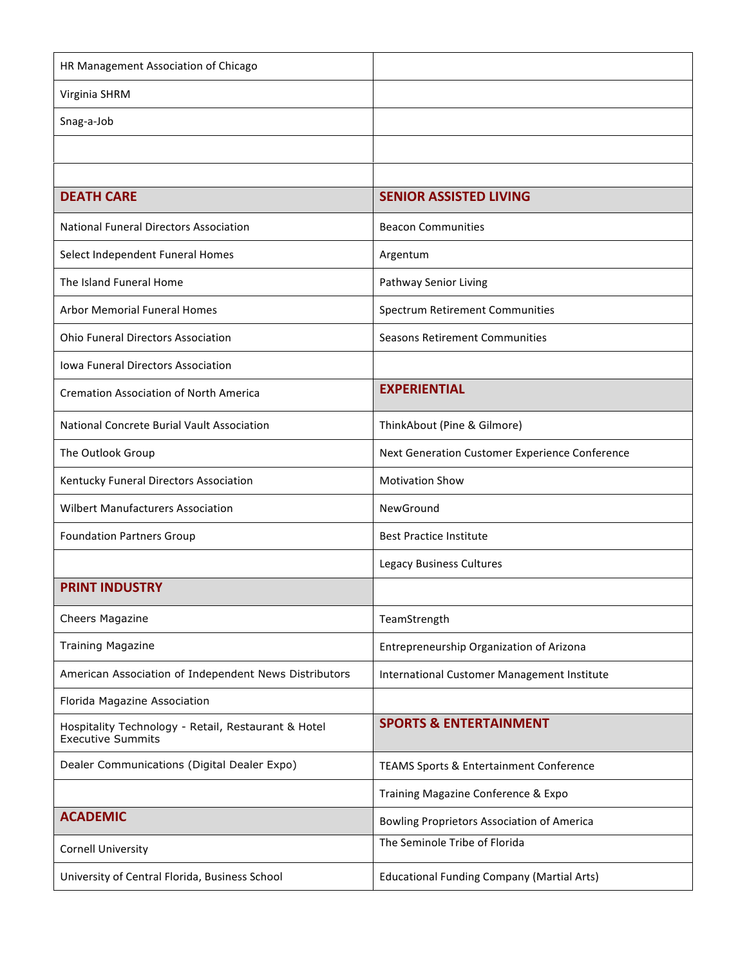| HR Management Association of Chicago                                            |                                                   |
|---------------------------------------------------------------------------------|---------------------------------------------------|
| Virginia SHRM                                                                   |                                                   |
| Snag-a-Job                                                                      |                                                   |
|                                                                                 |                                                   |
|                                                                                 |                                                   |
| <b>DEATH CARE</b>                                                               | <b>SENIOR ASSISTED LIVING</b>                     |
| <b>National Funeral Directors Association</b>                                   | <b>Beacon Communities</b>                         |
| Select Independent Funeral Homes                                                | Argentum                                          |
| The Island Funeral Home                                                         | Pathway Senior Living                             |
| <b>Arbor Memorial Funeral Homes</b>                                             | <b>Spectrum Retirement Communities</b>            |
| <b>Ohio Funeral Directors Association</b>                                       | Seasons Retirement Communities                    |
| <b>Iowa Funeral Directors Association</b>                                       |                                                   |
| <b>Cremation Association of North America</b>                                   | <b>EXPERIENTIAL</b>                               |
| <b>National Concrete Burial Vault Association</b>                               | ThinkAbout (Pine & Gilmore)                       |
| The Outlook Group                                                               | Next Generation Customer Experience Conference    |
| Kentucky Funeral Directors Association                                          | <b>Motivation Show</b>                            |
| <b>Wilbert Manufacturers Association</b>                                        | NewGround                                         |
| <b>Foundation Partners Group</b>                                                | <b>Best Practice Institute</b>                    |
|                                                                                 | Legacy Business Cultures                          |
| <b>PRINT INDUSTRY</b>                                                           |                                                   |
| Cheers Magazine                                                                 | TeamStrength                                      |
| <b>Training Magazine</b>                                                        | Entrepreneurship Organization of Arizona          |
| American Association of Independent News Distributors                           | International Customer Management Institute       |
| Florida Magazine Association                                                    |                                                   |
| Hospitality Technology - Retail, Restaurant & Hotel<br><b>Executive Summits</b> | <b>SPORTS &amp; ENTERTAINMENT</b>                 |
| Dealer Communications (Digital Dealer Expo)                                     | TEAMS Sports & Entertainment Conference           |
|                                                                                 | Training Magazine Conference & Expo               |
| <b>ACADEMIC</b>                                                                 | Bowling Proprietors Association of America        |
| <b>Cornell University</b>                                                       | The Seminole Tribe of Florida                     |
| University of Central Florida, Business School                                  | <b>Educational Funding Company (Martial Arts)</b> |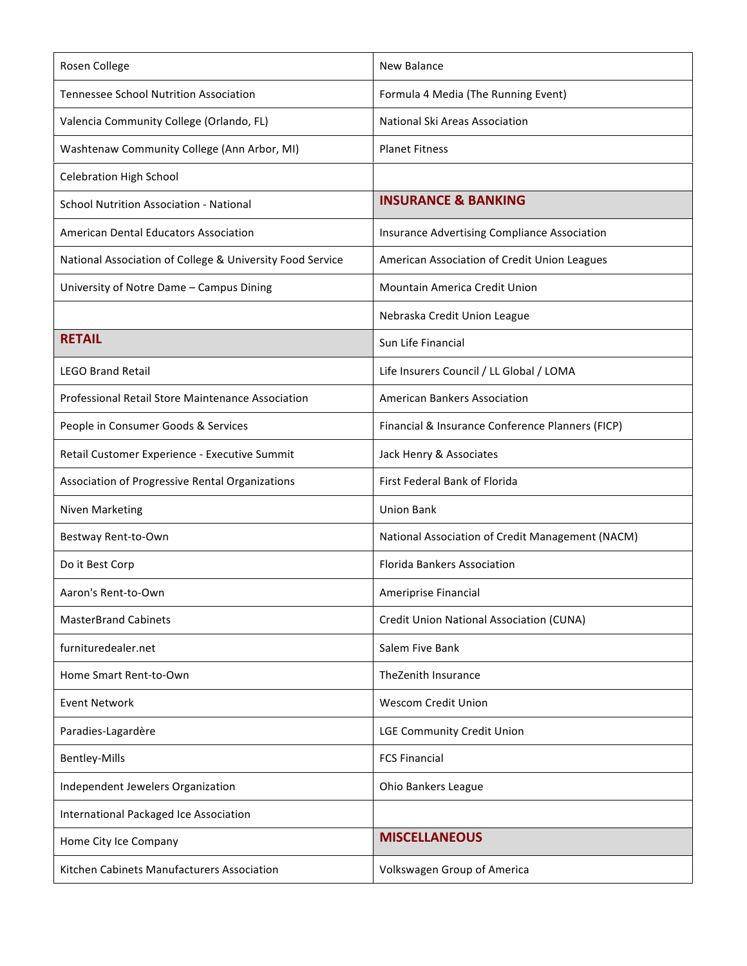| Rosen College                                             | <b>New Balance</b>                               |
|-----------------------------------------------------------|--------------------------------------------------|
| <b>Tennessee School Nutrition Association</b>             | Formula 4 Media (The Running Event)              |
| Valencia Community College (Orlando, FL)                  | National Ski Areas Association                   |
| Washtenaw Community College (Ann Arbor, MI)               | <b>Planet Fitness</b>                            |
| <b>Celebration High School</b>                            |                                                  |
| <b>School Nutrition Association - National</b>            | <b>INSURANCE &amp; BANKING</b>                   |
| <b>American Dental Educators Association</b>              | Insurance Advertising Compliance Association     |
| National Association of College & University Food Service | American Association of Credit Union Leagues     |
| University of Notre Dame - Campus Dining                  | <b>Mountain America Credit Union</b>             |
|                                                           | Nebraska Credit Union League                     |
| <b>RETAIL</b>                                             | Sun Life Financial                               |
| <b>LEGO Brand Retail</b>                                  | Life Insurers Council / LL Global / LOMA         |
| Professional Retail Store Maintenance Association         | <b>American Bankers Association</b>              |
| People in Consumer Goods & Services                       | Financial & Insurance Conference Planners (FICP) |
| Retail Customer Experience - Executive Summit             | Jack Henry & Associates                          |
| Association of Progressive Rental Organizations           | First Federal Bank of Florida                    |
| Niven Marketing                                           | <b>Union Bank</b>                                |
| Bestway Rent-to-Own                                       | National Association of Credit Management (NACM) |
| Do it Best Corp                                           | <b>Florida Bankers Association</b>               |
| Aaron's Rent-to-Own                                       | Ameriprise Financial                             |
| <b>MasterBrand Cabinets</b>                               | Credit Union National Association (CUNA)         |
| furnituredealer.net                                       | Salem Five Bank                                  |
| Home Smart Rent-to-Own                                    | TheZenith Insurance                              |
| <b>Event Network</b>                                      | <b>Wescom Credit Union</b>                       |
| Paradies-Lagardère                                        | <b>LGE Community Credit Union</b>                |
| Bentley-Mills                                             | <b>FCS Financial</b>                             |
| Independent Jewelers Organization                         | Ohio Bankers League                              |
| International Packaged Ice Association                    |                                                  |
| Home City Ice Company                                     | <b>MISCELLANEOUS</b>                             |
| Kitchen Cabinets Manufacturers Association                | Volkswagen Group of America                      |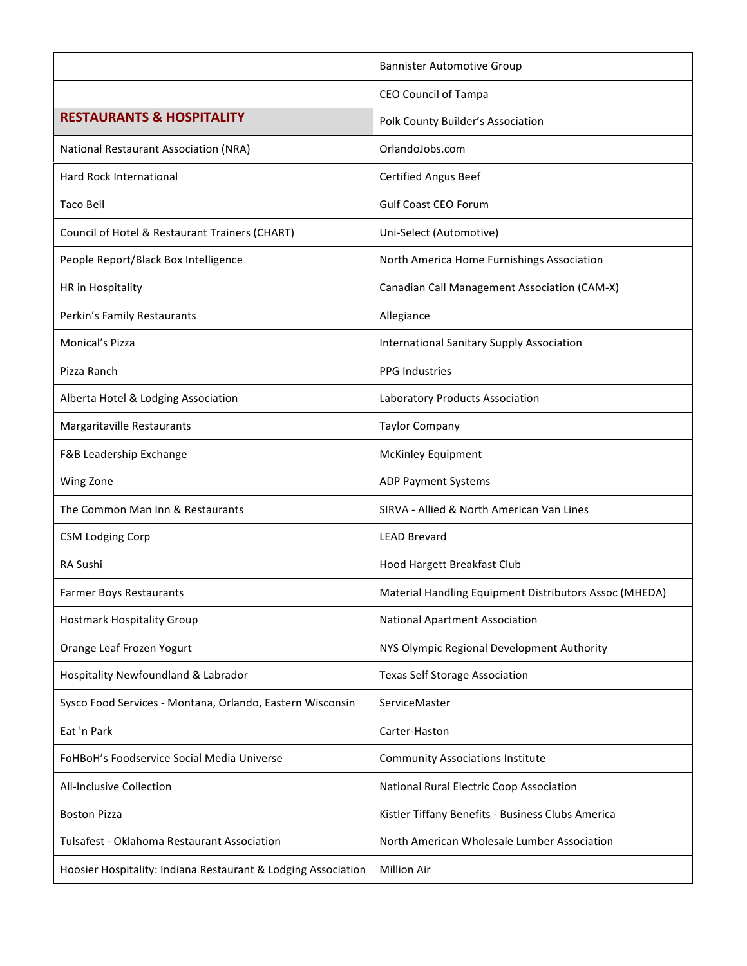|                                                               | <b>Bannister Automotive Group</b>                      |
|---------------------------------------------------------------|--------------------------------------------------------|
|                                                               | <b>CEO Council of Tampa</b>                            |
| <b>RESTAURANTS &amp; HOSPITALITY</b>                          | Polk County Builder's Association                      |
| National Restaurant Association (NRA)                         | OrlandoJobs.com                                        |
| <b>Hard Rock International</b>                                | Certified Angus Beef                                   |
| Taco Bell                                                     | <b>Gulf Coast CEO Forum</b>                            |
| Council of Hotel & Restaurant Trainers (CHART)                | Uni-Select (Automotive)                                |
| People Report/Black Box Intelligence                          | North America Home Furnishings Association             |
| HR in Hospitality                                             | Canadian Call Management Association (CAM-X)           |
| Perkin's Family Restaurants                                   | Allegiance                                             |
| Monical's Pizza                                               | <b>International Sanitary Supply Association</b>       |
| Pizza Ranch                                                   | <b>PPG Industries</b>                                  |
| Alberta Hotel & Lodging Association                           | Laboratory Products Association                        |
| Margaritaville Restaurants                                    | <b>Taylor Company</b>                                  |
| F&B Leadership Exchange                                       | McKinley Equipment                                     |
| Wing Zone                                                     | <b>ADP Payment Systems</b>                             |
| The Common Man Inn & Restaurants                              | SIRVA - Allied & North American Van Lines              |
| <b>CSM Lodging Corp</b>                                       | <b>LEAD Brevard</b>                                    |
| RA Sushi                                                      | Hood Hargett Breakfast Club                            |
| <b>Farmer Boys Restaurants</b>                                | Material Handling Equipment Distributors Assoc (MHEDA) |
| <b>Hostmark Hospitality Group</b>                             | National Apartment Association                         |
| Orange Leaf Frozen Yogurt                                     | NYS Olympic Regional Development Authority             |
| Hospitality Newfoundland & Labrador                           | <b>Texas Self Storage Association</b>                  |
| Sysco Food Services - Montana, Orlando, Eastern Wisconsin     | ServiceMaster                                          |
| Eat 'n Park                                                   | Carter-Haston                                          |
| FoHBoH's Foodservice Social Media Universe                    | <b>Community Associations Institute</b>                |
| <b>All-Inclusive Collection</b>                               | National Rural Electric Coop Association               |
| <b>Boston Pizza</b>                                           | Kistler Tiffany Benefits - Business Clubs America      |
| Tulsafest - Oklahoma Restaurant Association                   | North American Wholesale Lumber Association            |
| Hoosier Hospitality: Indiana Restaurant & Lodging Association | <b>Million Air</b>                                     |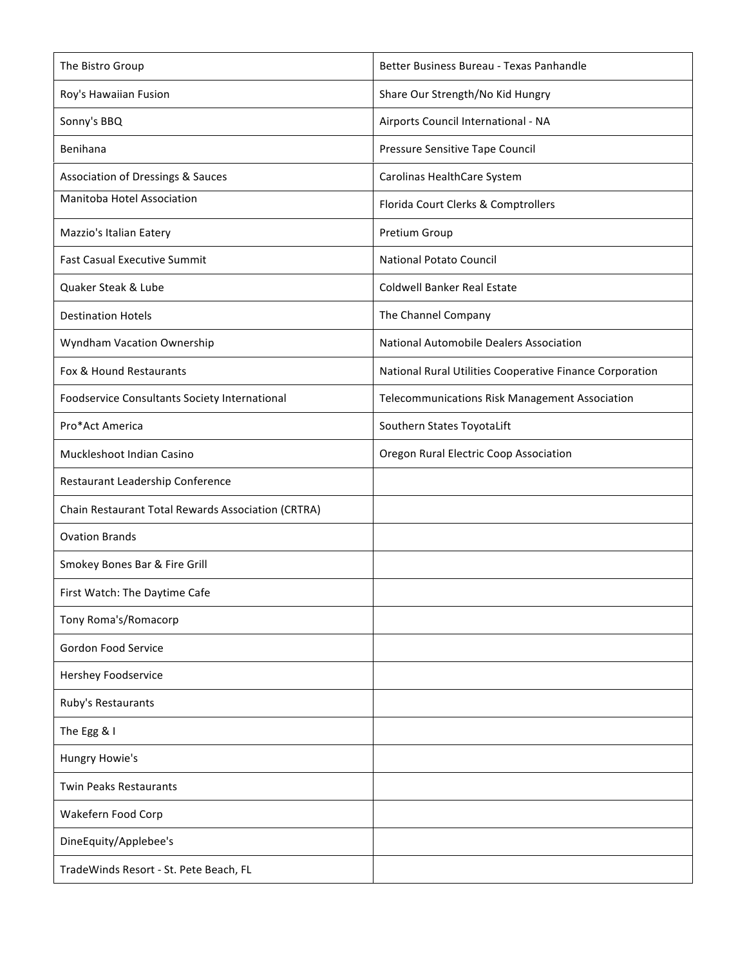| The Bistro Group                                   | Better Business Bureau - Texas Panhandle                 |
|----------------------------------------------------|----------------------------------------------------------|
| Roy's Hawaiian Fusion                              | Share Our Strength/No Kid Hungry                         |
| Sonny's BBQ                                        | Airports Council International - NA                      |
| Benihana                                           | Pressure Sensitive Tape Council                          |
| Association of Dressings & Sauces                  | Carolinas HealthCare System                              |
| Manitoba Hotel Association                         | Florida Court Clerks & Comptrollers                      |
| Mazzio's Italian Eatery                            | Pretium Group                                            |
| <b>Fast Casual Executive Summit</b>                | <b>National Potato Council</b>                           |
| Quaker Steak & Lube                                | <b>Coldwell Banker Real Estate</b>                       |
| <b>Destination Hotels</b>                          | The Channel Company                                      |
| Wyndham Vacation Ownership                         | National Automobile Dealers Association                  |
| Fox & Hound Restaurants                            | National Rural Utilities Cooperative Finance Corporation |
| Foodservice Consultants Society International      | Telecommunications Risk Management Association           |
| Pro*Act America                                    | Southern States ToyotaLift                               |
| Muckleshoot Indian Casino                          | Oregon Rural Electric Coop Association                   |
| Restaurant Leadership Conference                   |                                                          |
| Chain Restaurant Total Rewards Association (CRTRA) |                                                          |
| <b>Ovation Brands</b>                              |                                                          |
| Smokey Bones Bar & Fire Grill                      |                                                          |
| First Watch: The Daytime Cafe                      |                                                          |
| Tony Roma's/Romacorp                               |                                                          |
| Gordon Food Service                                |                                                          |
| Hershey Foodservice                                |                                                          |
| Ruby's Restaurants                                 |                                                          |
| The Egg & I                                        |                                                          |
| Hungry Howie's                                     |                                                          |
| <b>Twin Peaks Restaurants</b>                      |                                                          |
| Wakefern Food Corp                                 |                                                          |
| DineEquity/Applebee's                              |                                                          |
| TradeWinds Resort - St. Pete Beach, FL             |                                                          |